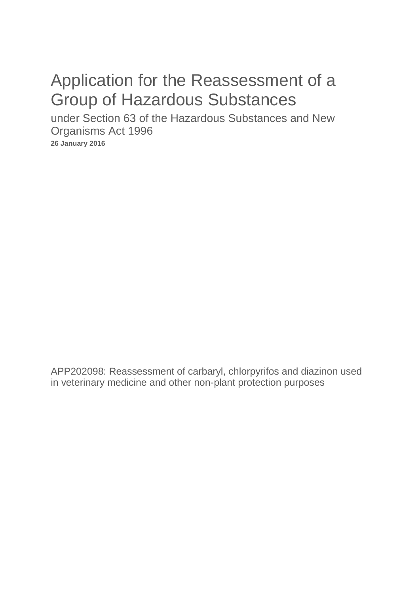# Application for the Reassessment of a Group of Hazardous Substances

under Section 63 of the Hazardous Substances and New Organisms Act 1996 **26 January 2016**

APP202098: Reassessment of carbaryl, chlorpyrifos and diazinon used in veterinary medicine and other non-plant protection purposes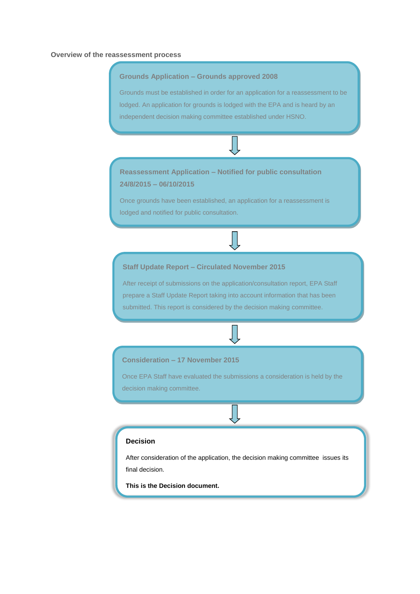#### **Overview of the reassessment process**

#### **Grounds Application – Grounds approved 2008**

Grounds must be established in order for an application for a reassessment to be lodged. An application for grounds is lodged with the EPA and is heard by an independent decision making committee established under HSNO.

**Reassessment Application – Notified for public consultation 24/8/2015 – 06/10/2015**

Once grounds have been established, an application for a reassessment is lodged and notified for public consultation.

#### **Staff Update Report – Circulated November 2015**

After receipt of submissions on the application/consultation report, EPA Staff prepare a Staff Update Report taking into account information that has been submitted. This report is considered by the decision making committee.

#### **Consideration – 17 November 2015**

Once EPA Staff have evaluated the submissions a consideration is held by the decision making committee.

#### **Decision**

After consideration of the application, the decision making committee issues its final decision.

**This is the Decision document.**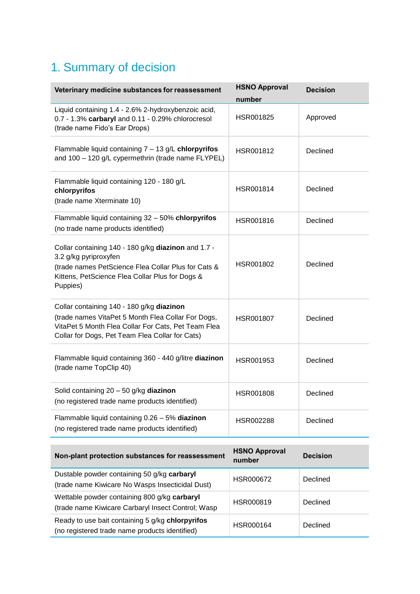# 1. Summary of decision

| Veterinary medicine substances for reassessment                                                                                                                                                           | <b>HSNO Approval</b>           | <b>Decision</b> |
|-----------------------------------------------------------------------------------------------------------------------------------------------------------------------------------------------------------|--------------------------------|-----------------|
|                                                                                                                                                                                                           | number                         |                 |
| Liquid containing 1.4 - 2.6% 2-hydroxybenzoic acid,<br>0.7 - 1.3% carbaryl and 0.11 - 0.29% chlorocresol<br>(trade name Fido's Ear Drops)                                                                 | HSR001825                      | Approved        |
| Flammable liquid containing $7 - 13$ g/L chlorpyrifos<br>and 100 - 120 g/L cypermethrin (trade name FLYPEL)                                                                                               | HSR001812                      | Declined        |
| Flammable liquid containing 120 - 180 g/L<br>chlorpyrifos<br>(trade name Xterminate 10)                                                                                                                   | HSR001814                      | Declined        |
| Flammable liquid containing 32 - 50% chlorpyrifos<br>(no trade name products identified)                                                                                                                  | HSR001816                      | Declined        |
| Collar containing 140 - 180 g/kg diazinon and 1.7 -<br>3.2 g/kg pyriproxyfen<br>(trade names PetScience Flea Collar Plus for Cats &<br>Kittens, PetScience Flea Collar Plus for Dogs &<br>Puppies)        | HSR001802                      | Declined        |
| Collar containing 140 - 180 g/kg diazinon<br>(trade names VitaPet 5 Month Flea Collar For Dogs,<br>VitaPet 5 Month Flea Collar For Cats, Pet Team Flea<br>Collar for Dogs, Pet Team Flea Collar for Cats) | HSR001807                      | Declined        |
| Flammable liquid containing 360 - 440 g/litre diazinon<br>(trade name TopClip 40)                                                                                                                         | HSR001953                      | Declined        |
| Solid containing $20 - 50$ g/kg diazinon<br>(no registered trade name products identified)                                                                                                                | HSR001808                      | Declined        |
| Flammable liquid containing 0.26 - 5% diazinon<br>(no registered trade name products identified)                                                                                                          | HSR002288                      | Declined        |
|                                                                                                                                                                                                           |                                |                 |
| Non-plant protection substances for reassessment                                                                                                                                                          | <b>HSNO Approval</b><br>number | <b>Decision</b> |
| Dustable powder containing 50 g/kg carbaryl<br>(trade name Kiwicare No Wasps Insecticidal Dust)                                                                                                           | HSR000672                      | Declined        |
| Wettable powder containing 800 g/kg carbaryl<br>(trade name Kiwicare Carbaryl Insect Control; Wasp                                                                                                        | HSR000819                      | Declined        |
| Ready to use bait containing 5 g/kg chlorpyrifos<br>(no registered trade name products identified)                                                                                                        | HSR000164                      | Declined        |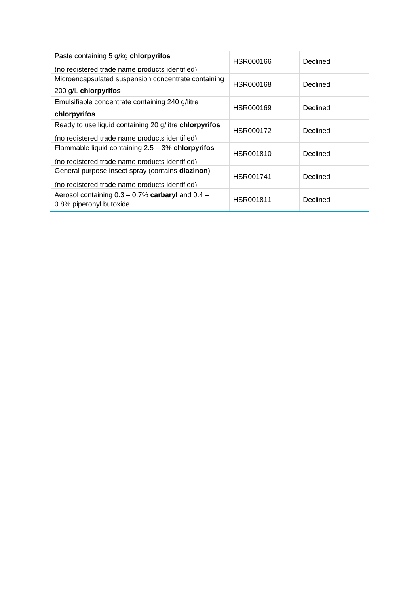| Paste containing 5 g/kg chlorpyrifos<br>(no registered trade name products identified)                   | HSR000166 | Declined |
|----------------------------------------------------------------------------------------------------------|-----------|----------|
| Microencapsulated suspension concentrate containing<br>200 g/L chlorpyrifos                              | HSR000168 | Declined |
| Emulsifiable concentrate containing 240 g/litre<br>chlorpyrifos                                          | HSR000169 | Declined |
| Ready to use liquid containing 20 g/litre chlorpyrifos<br>(no registered trade name products identified) | HSR000172 | Declined |
| Flammable liquid containing $2.5 - 3%$ chlorpyrifos<br>(no registered trade name products identified)    | HSR001810 | Declined |
| General purpose insect spray (contains diazinon)<br>(no registered trade name products identified)       | HSR001741 | Declined |
| Aerosol containing $0.3 - 0.7\%$ carbaryl and $0.4 -$<br>0.8% piperonyl butoxide                         | HSR001811 | Declined |

(no registered trade name products identified)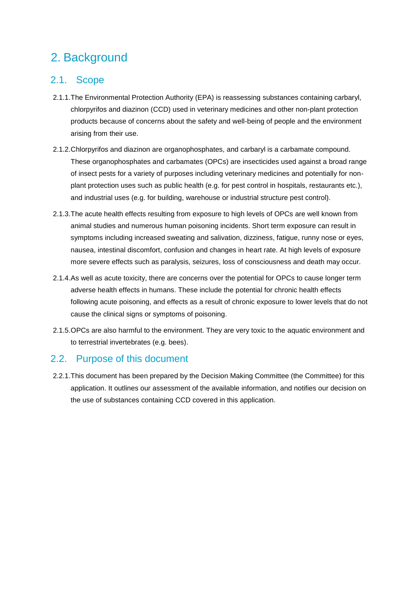# 2. Background

# 2.1. Scope

- 2.1.1.The Environmental Protection Authority (EPA) is reassessing substances containing carbaryl, chlorpyrifos and diazinon (CCD) used in veterinary medicines and other non-plant protection products because of concerns about the safety and well-being of people and the environment arising from their use.
- 2.1.2.Chlorpyrifos and diazinon are organophosphates, and carbaryl is a carbamate compound. These organophosphates and carbamates (OPCs) are insecticides used against a broad range of insect pests for a variety of purposes including veterinary medicines and potentially for nonplant protection uses such as public health (e.g. for pest control in hospitals, restaurants etc.), and industrial uses (e.g. for building, warehouse or industrial structure pest control).
- 2.1.3.The acute health effects resulting from exposure to high levels of OPCs are well known from animal studies and numerous human poisoning incidents. Short term exposure can result in symptoms including increased sweating and salivation, dizziness, fatigue, runny nose or eyes, nausea, intestinal discomfort, confusion and changes in heart rate. At high levels of exposure more severe effects such as paralysis, seizures, loss of consciousness and death may occur.
- 2.1.4.As well as acute toxicity, there are concerns over the potential for OPCs to cause longer term adverse health effects in humans. These include the potential for chronic health effects following acute poisoning, and effects as a result of chronic exposure to lower levels that do not cause the clinical signs or symptoms of poisoning.
- 2.1.5.OPCs are also harmful to the environment. They are very toxic to the aquatic environment and to terrestrial invertebrates (e.g. bees).

### 2.2. Purpose of this document

2.2.1.This document has been prepared by the Decision Making Committee (the Committee) for this application. It outlines our assessment of the available information, and notifies our decision on the use of substances containing CCD covered in this application.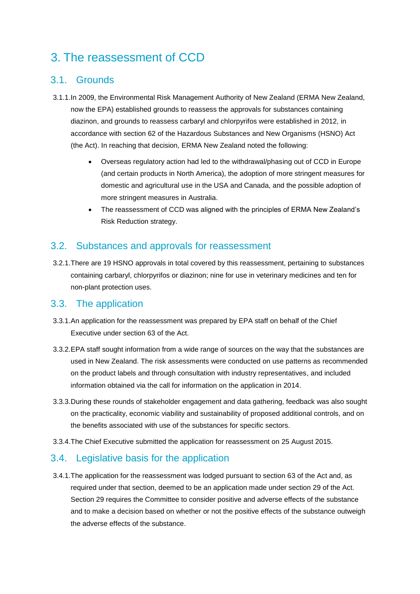# 3. The reassessment of CCD

## 3.1. Grounds

- 3.1.1.In 2009, the Environmental Risk Management Authority of New Zealand (ERMA New Zealand, now the EPA) established grounds to reassess the approvals for substances containing diazinon, and grounds to reassess carbaryl and chlorpyrifos were established in 2012, in accordance with section 62 of the Hazardous Substances and New Organisms (HSNO) Act (the Act). In reaching that decision, ERMA New Zealand noted the following:
	- Overseas regulatory action had led to the withdrawal/phasing out of CCD in Europe (and certain products in North America), the adoption of more stringent measures for domestic and agricultural use in the USA and Canada, and the possible adoption of more stringent measures in Australia.
	- The reassessment of CCD was aligned with the principles of ERMA New Zealand's Risk Reduction strategy.

### 3.2. Substances and approvals for reassessment

3.2.1.There are 19 HSNO approvals in total covered by this reassessment, pertaining to substances containing carbaryl, chlorpyrifos or diazinon; nine for use in veterinary medicines and ten for non-plant protection uses.

#### 3.3. The application

- 3.3.1.An application for the reassessment was prepared by EPA staff on behalf of the Chief Executive under section 63 of the Act.
- 3.3.2.EPA staff sought information from a wide range of sources on the way that the substances are used in New Zealand. The risk assessments were conducted on use patterns as recommended on the product labels and through consultation with industry representatives, and included information obtained via the call for information on the application in 2014.
- 3.3.3.During these rounds of stakeholder engagement and data gathering, feedback was also sought on the practicality, economic viability and sustainability of proposed additional controls, and on the benefits associated with use of the substances for specific sectors.
- 3.3.4.The Chief Executive submitted the application for reassessment on 25 August 2015.

### 3.4. Legislative basis for the application

3.4.1.The application for the reassessment was lodged pursuant to section 63 of the Act and, as required under that section, deemed to be an application made under section 29 of the Act. Section 29 requires the Committee to consider positive and adverse effects of the substance and to make a decision based on whether or not the positive effects of the substance outweigh the adverse effects of the substance.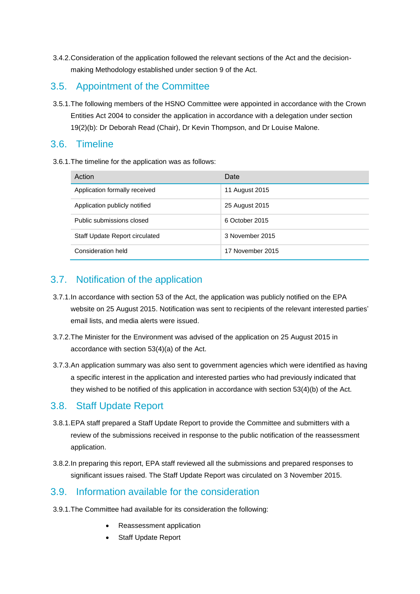3.4.2.Consideration of the application followed the relevant sections of the Act and the decisionmaking Methodology established under section 9 of the Act.

## 3.5. Appointment of the Committee

3.5.1.The following members of the HSNO Committee were appointed in accordance with the Crown Entities Act 2004 to consider the application in accordance with a delegation under section 19(2)(b): Dr Deborah Read (Chair), Dr Kevin Thompson, and Dr Louise Malone.

### 3.6. Timeline

3.6.1.The timeline for the application was as follows:

| Action                         | Date             |
|--------------------------------|------------------|
| Application formally received  | 11 August 2015   |
| Application publicly notified  | 25 August 2015   |
| Public submissions closed      | 6 October 2015   |
| Staff Update Report circulated | 3 November 2015  |
| Consideration held             | 17 November 2015 |

# 3.7. Notification of the application

- 3.7.1.In accordance with section 53 of the Act, the application was publicly notified on the EPA website on 25 August 2015. Notification was sent to recipients of the relevant interested parties' email lists, and media alerts were issued.
- 3.7.2.The Minister for the Environment was advised of the application on 25 August 2015 in accordance with section 53(4)(a) of the Act.
- 3.7.3.An application summary was also sent to government agencies which were identified as having a specific interest in the application and interested parties who had previously indicated that they wished to be notified of this application in accordance with section 53(4)(b) of the Act.

# 3.8. Staff Update Report

- 3.8.1.EPA staff prepared a Staff Update Report to provide the Committee and submitters with a review of the submissions received in response to the public notification of the reassessment application.
- 3.8.2.In preparing this report, EPA staff reviewed all the submissions and prepared responses to significant issues raised. The Staff Update Report was circulated on 3 November 2015.

# 3.9. Information available for the consideration

- 3.9.1.The Committee had available for its consideration the following:
	- Reassessment application
	- Staff Update Report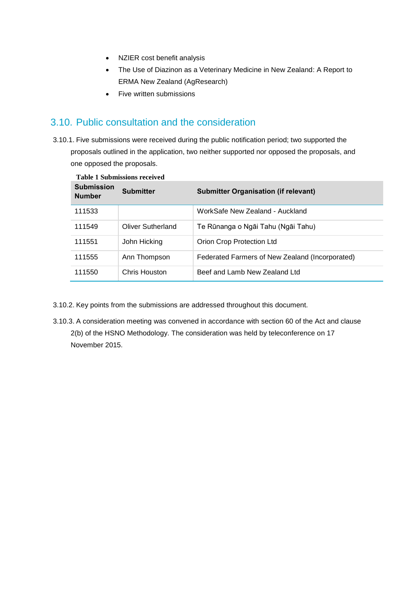- NZIER cost benefit analysis
- The Use of Diazinon as a Veterinary Medicine in New Zealand: A Report to ERMA New Zealand (AgResearch)
- Five written submissions

## 3.10. Public consultation and the consideration

3.10.1. Five submissions were received during the public notification period; two supported the proposals outlined in the application, two neither supported nor opposed the proposals, and one opposed the proposals.

| <b>Submission</b><br><b>Number</b> | <b>Submitter</b>  | <b>Submitter Organisation (if relevant)</b>     |
|------------------------------------|-------------------|-------------------------------------------------|
| 111533                             |                   | WorkSafe New Zealand - Auckland                 |
| 111549                             | Oliver Sutherland | Te Rūnanga o Ngāi Tahu (Ngāi Tahu)              |
| 111551                             | John Hicking      | Orion Crop Protection Ltd                       |
| 111555                             | Ann Thompson      | Federated Farmers of New Zealand (Incorporated) |
| 111550                             | Chris Houston     | Beef and Lamb New Zealand Ltd                   |

#### **Table 1 Submissions received**

3.10.2. Key points from the submissions are addressed throughout this document.

3.10.3. A consideration meeting was convened in accordance with section 60 of the Act and clause 2(b) of the HSNO Methodology. The consideration was held by teleconference on 17 November 2015.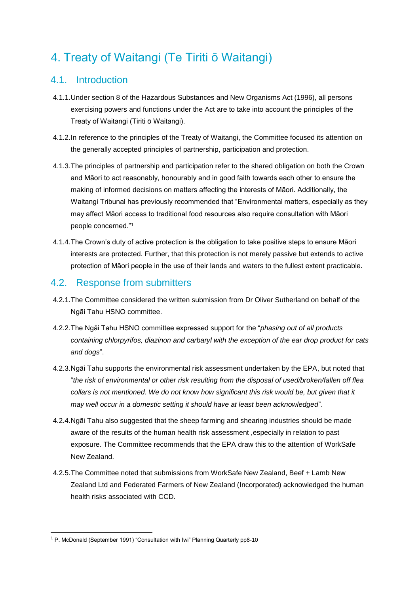# 4. Treaty of Waitangi (Te Tiriti ō Waitangi)

## 4.1. Introduction

- 4.1.1.Under section 8 of the Hazardous Substances and New Organisms Act (1996), all persons exercising powers and functions under the Act are to take into account the principles of the Treaty of Waitangi (Tiriti ō Waitangi).
- 4.1.2.In reference to the principles of the Treaty of Waitangi, the Committee focused its attention on the generally accepted principles of partnership, participation and protection.
- 4.1.3.The principles of partnership and participation refer to the shared obligation on both the Crown and Māori to act reasonably, honourably and in good faith towards each other to ensure the making of informed decisions on matters affecting the interests of Māori. Additionally, the Waitangi Tribunal has previously recommended that "Environmental matters, especially as they may affect Māori access to traditional food resources also require consultation with Māori people concerned."<sup>1</sup>
- 4.1.4.The Crown's duty of active protection is the obligation to take positive steps to ensure Māori interests are protected. Further, that this protection is not merely passive but extends to active protection of Māori people in the use of their lands and waters to the fullest extent practicable.

### 4.2. Response from submitters

- 4.2.1.The Committee considered the written submission from Dr Oliver Sutherland on behalf of the Ngāi Tahu HSNO committee.
- 4.2.2.The Ngāi Tahu HSNO committee expressed support for the "*phasing out of all products containing chlorpyrifos, diazinon and carbaryl with the exception of the ear drop product for cats and dogs*".
- 4.2.3.Ngāi Tahu supports the environmental risk assessment undertaken by the EPA, but noted that "*the risk of environmental or other risk resulting from the disposal of used/broken/fallen off flea*  collars is not mentioned. We do not know how significant this risk would be, but given that it *may well occur in a domestic setting it should have at least been acknowledged*".
- 4.2.4.Ngāi Tahu also suggested that the sheep farming and shearing industries should be made aware of the results of the human health risk assessment ,especially in relation to past exposure. The Committee recommends that the EPA draw this to the attention of WorkSafe New Zealand.
- 4.2.5.The Committee noted that submissions from WorkSafe New Zealand, Beef + Lamb New Zealand Ltd and Federated Farmers of New Zealand (Incorporated) acknowledged the human health risks associated with CCD.

<sup>1</sup> <sup>1</sup> P. McDonald (September 1991) "Consultation with Iwi" Planning Quarterly pp8-10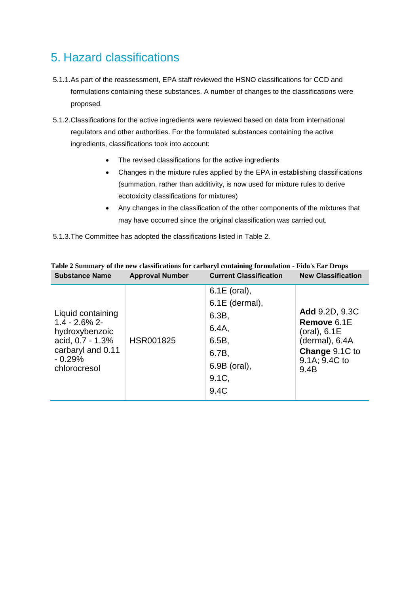# 5. Hazard classifications

- 5.1.1.As part of the reassessment, EPA staff reviewed the HSNO classifications for CCD and formulations containing these substances. A number of changes to the classifications were proposed.
- 5.1.2.Classifications for the active ingredients were reviewed based on data from international regulators and other authorities. For the formulated substances containing the active ingredients, classifications took into account:
	- The revised classifications for the active ingredients
	- Changes in the mixture rules applied by the EPA in establishing classifications (summation, rather than additivity, is now used for mixture rules to derive ecotoxicity classifications for mixtures)
	- Any changes in the classification of the other components of the mixtures that may have occurred since the original classification was carried out.

5.1.3.The Committee has adopted the classifications listed in Table 2.

| <b>Substance Name</b>                                                                                                        | <b>Approval Number</b> | <b>Current Classification</b>                                                                             | <b>New Classification</b>                                                                                  |
|------------------------------------------------------------------------------------------------------------------------------|------------------------|-----------------------------------------------------------------------------------------------------------|------------------------------------------------------------------------------------------------------------|
| Liquid containing<br>$1.4 - 2.6\%$ 2-<br>hydroxybenzoic<br>acid, 0.7 - 1.3%<br>carbaryl and 0.11<br>$-0.29%$<br>chlorocresol | HSR001825              | $6.1E$ (oral),<br>$6.1E$ (dermal),<br>6.3B,<br>6.4A,<br>6.5B,<br>6.7B,<br>$6.9B$ (oral),<br>9.1C,<br>9.4C | Add 9.2D, 9.3C<br>Remove 6.1E<br>(oral), 6.1E<br>(dermal), 6.4A<br>Change 9.1C to<br>9.1A; 9.4C to<br>9.4B |

#### **Table 2 Summary of the new classifications for carbaryl containing formulation - Fido's Ear Drops**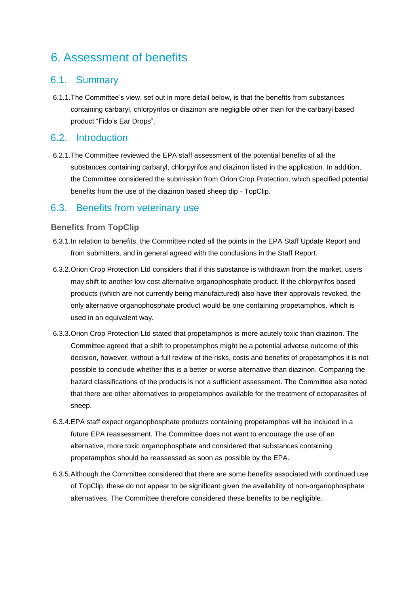# 6. Assessment of benefits

#### 6.1. Summary

6.1.1.The Committee's view, set out in more detail below, is that the benefits from substances containing carbaryl, chlorpyrifos or diazinon are negligible other than for the carbaryl based product "Fido's Ear Drops".

#### 6.2. Introduction

6.2.1.The Committee reviewed the EPA staff assessment of the potential benefits of all the substances containing carbaryl, chlorpyrifos and diazinon listed in the application. In addition, the Committee considered the submission from Orion Crop Protection, which specified potential benefits from the use of the diazinon based sheep dip - TopClip.

#### 6.3. Benefits from veterinary use

#### **Benefits from TopClip**

- 6.3.1.In relation to benefits, the Committee noted all the points in the EPA Staff Update Report and from submitters, and in general agreed with the conclusions in the Staff Report.
- 6.3.2.Orion Crop Protection Ltd considers that if this substance is withdrawn from the market, users may shift to another low cost alternative organophosphate product. If the chlorpyrifos based products (which are not currently being manufactured) also have their approvals revoked, the only alternative organophosphate product would be one containing propetamphos, which is used in an equivalent way.
- 6.3.3.Orion Crop Protection Ltd stated that propetamphos is more acutely toxic than diazinon. The Committee agreed that a shift to propetamphos might be a potential adverse outcome of this decision, however, without a full review of the risks, costs and benefits of propetamphos it is not possible to conclude whether this is a better or worse alternative than diazinon. Comparing the hazard classifications of the products is not a sufficient assessment. The Committee also noted that there are other alternatives to propetamphos available for the treatment of ectoparasites of sheep.
- 6.3.4.EPA staff expect organophosphate products containing propetamphos will be included in a future EPA reassessment. The Committee does not want to encourage the use of an alternative, more toxic organophosphate and considered that substances containing propetamphos should be reassessed as soon as possible by the EPA.
- 6.3.5.Although the Committee considered that there are some benefits associated with continued use of TopClip, these do not appear to be significant given the availability of non-organophosphate alternatives. The Committee therefore considered these benefits to be negligible.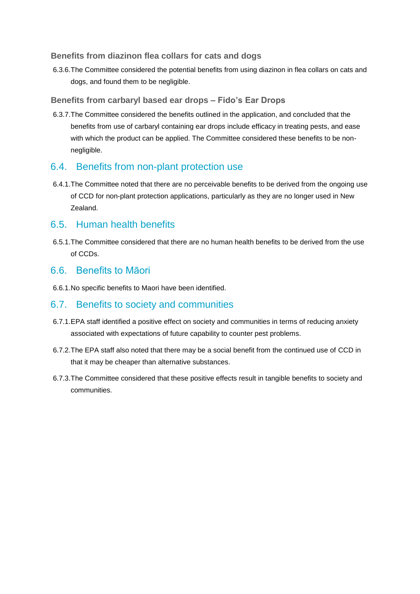#### **Benefits from diazinon flea collars for cats and dogs**

6.3.6.The Committee considered the potential benefits from using diazinon in flea collars on cats and dogs, and found them to be negligible.

#### **Benefits from carbaryl based ear drops – Fido's Ear Drops**

6.3.7.The Committee considered the benefits outlined in the application, and concluded that the benefits from use of carbaryl containing ear drops include efficacy in treating pests, and ease with which the product can be applied. The Committee considered these benefits to be nonnegligible.

#### 6.4. Benefits from non-plant protection use

6.4.1.The Committee noted that there are no perceivable benefits to be derived from the ongoing use of CCD for non-plant protection applications, particularly as they are no longer used in New Zealand.

#### 6.5. Human health benefits

6.5.1.The Committee considered that there are no human health benefits to be derived from the use of CCDs.

#### 6.6. Benefits to Māori

6.6.1.No specific benefits to Maori have been identified.

#### 6.7. Benefits to society and communities

- 6.7.1.EPA staff identified a positive effect on society and communities in terms of reducing anxiety associated with expectations of future capability to counter pest problems.
- 6.7.2.The EPA staff also noted that there may be a social benefit from the continued use of CCD in that it may be cheaper than alternative substances.
- 6.7.3.The Committee considered that these positive effects result in tangible benefits to society and communities.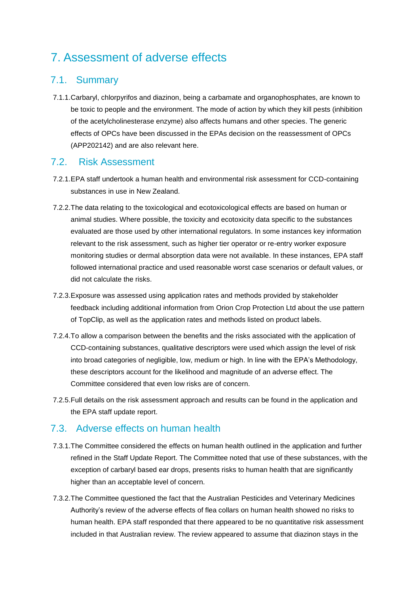# 7. Assessment of adverse effects

### 7.1. Summary

7.1.1.Carbaryl, chlorpyrifos and diazinon, being a carbamate and organophosphates, are known to be toxic to people and the environment. The mode of action by which they kill pests (inhibition of the acetylcholinesterase enzyme) also affects humans and other species. The generic effects of OPCs have been discussed in the EPAs decision on the reassessment of OPCs (APP202142) and are also relevant here.

#### 7.2. Risk Assessment

- 7.2.1.EPA staff undertook a human health and environmental risk assessment for CCD-containing substances in use in New Zealand.
- 7.2.2.The data relating to the toxicological and ecotoxicological effects are based on human or animal studies. Where possible, the toxicity and ecotoxicity data specific to the substances evaluated are those used by other international regulators. In some instances key information relevant to the risk assessment, such as higher tier operator or re-entry worker exposure monitoring studies or dermal absorption data were not available. In these instances, EPA staff followed international practice and used reasonable worst case scenarios or default values, or did not calculate the risks.
- 7.2.3.Exposure was assessed using application rates and methods provided by stakeholder feedback including additional information from Orion Crop Protection Ltd about the use pattern of TopClip, as well as the application rates and methods listed on product labels.
- 7.2.4.To allow a comparison between the benefits and the risks associated with the application of CCD-containing substances, qualitative descriptors were used which assign the level of risk into broad categories of negligible, low, medium or high. In line with the EPA's Methodology, these descriptors account for the likelihood and magnitude of an adverse effect. The Committee considered that even low risks are of concern.
- 7.2.5.Full details on the risk assessment approach and results can be found in the application and the EPA staff update report.

### 7.3. Adverse effects on human health

- 7.3.1.The Committee considered the effects on human health outlined in the application and further refined in the Staff Update Report. The Committee noted that use of these substances, with the exception of carbaryl based ear drops, presents risks to human health that are significantly higher than an acceptable level of concern.
- 7.3.2.The Committee questioned the fact that the Australian Pesticides and Veterinary Medicines Authority's review of the adverse effects of flea collars on human health showed no risks to human health. EPA staff responded that there appeared to be no quantitative risk assessment included in that Australian review. The review appeared to assume that diazinon stays in the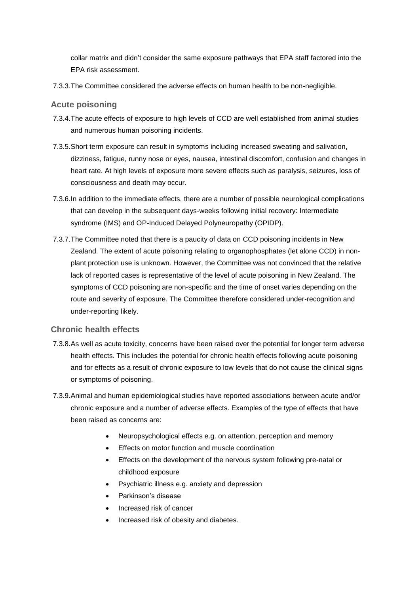collar matrix and didn't consider the same exposure pathways that EPA staff factored into the EPA risk assessment.

7.3.3.The Committee considered the adverse effects on human health to be non-negligible.

#### **Acute poisoning**

- 7.3.4.The acute effects of exposure to high levels of CCD are well established from animal studies and numerous human poisoning incidents.
- 7.3.5.Short term exposure can result in symptoms including increased sweating and salivation, dizziness, fatigue, runny nose or eyes, nausea, intestinal discomfort, confusion and changes in heart rate. At high levels of exposure more severe effects such as paralysis, seizures, loss of consciousness and death may occur.
- 7.3.6.In addition to the immediate effects, there are a number of possible neurological complications that can develop in the subsequent days-weeks following initial recovery: Intermediate syndrome (IMS) and OP-Induced Delayed Polyneuropathy (OPIDP).
- 7.3.7.The Committee noted that there is a paucity of data on CCD poisoning incidents in New Zealand. The extent of acute poisoning relating to organophosphates (let alone CCD) in nonplant protection use is unknown. However, the Committee was not convinced that the relative lack of reported cases is representative of the level of acute poisoning in New Zealand. The symptoms of CCD poisoning are non-specific and the time of onset varies depending on the route and severity of exposure. The Committee therefore considered under-recognition and under-reporting likely.

#### **Chronic health effects**

- 7.3.8.As well as acute toxicity, concerns have been raised over the potential for longer term adverse health effects. This includes the potential for chronic health effects following acute poisoning and for effects as a result of chronic exposure to low levels that do not cause the clinical signs or symptoms of poisoning.
- 7.3.9.Animal and human epidemiological studies have reported associations between acute and/or chronic exposure and a number of adverse effects. Examples of the type of effects that have been raised as concerns are:
	- Neuropsychological effects e.g. on attention, perception and memory
	- **Effects on motor function and muscle coordination**
	- Effects on the development of the nervous system following pre-natal or childhood exposure
	- Psychiatric illness e.g. anxiety and depression
	- Parkinson's disease
	- Increased risk of cancer
	- Increased risk of obesity and diabetes.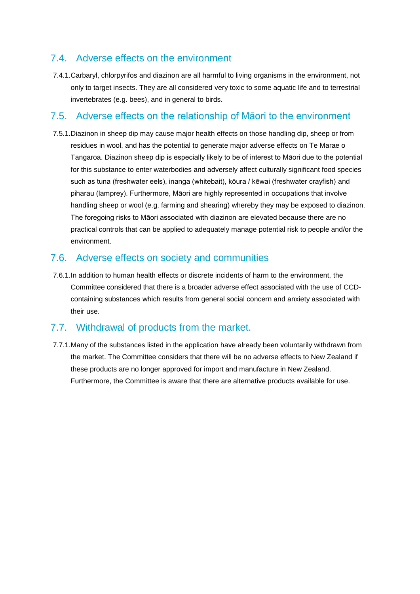### 7.4. Adverse effects on the environment

7.4.1.Carbaryl, chlorpyrifos and diazinon are all harmful to living organisms in the environment, not only to target insects. They are all considered very toxic to some aquatic life and to terrestrial invertebrates (e.g. bees), and in general to birds.

### 7.5. Adverse effects on the relationship of Māori to the environment

7.5.1.Diazinon in sheep dip may cause major health effects on those handling dip, sheep or from residues in wool, and has the potential to generate major adverse effects on Te Marae o Tangaroa. Diazinon sheep dip is especially likely to be of interest to Māori due to the potential for this substance to enter waterbodies and adversely affect culturally significant food species such as tuna (freshwater eels), inanga (whitebait), kōura / kēwai (freshwater crayfish) and piharau (lamprey). Furthermore, Māori are highly represented in occupations that involve handling sheep or wool (e.g. farming and shearing) whereby they may be exposed to diazinon. The foregoing risks to Māori associated with diazinon are elevated because there are no practical controls that can be applied to adequately manage potential risk to people and/or the environment.

## 7.6. Adverse effects on society and communities

7.6.1.In addition to human health effects or discrete incidents of harm to the environment, the Committee considered that there is a broader adverse effect associated with the use of CCDcontaining substances which results from general social concern and anxiety associated with their use.

# 7.7. Withdrawal of products from the market.

7.7.1.Many of the substances listed in the application have already been voluntarily withdrawn from the market. The Committee considers that there will be no adverse effects to New Zealand if these products are no longer approved for import and manufacture in New Zealand. Furthermore, the Committee is aware that there are alternative products available for use.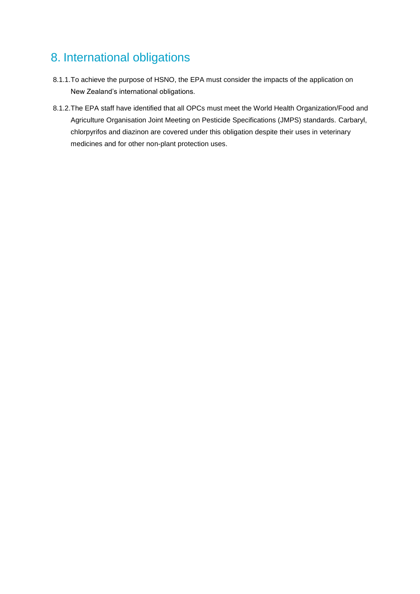# 8. International obligations

- 8.1.1.To achieve the purpose of HSNO, the EPA must consider the impacts of the application on New Zealand's international obligations.
- 8.1.2.The EPA staff have identified that all OPCs must meet the World Health Organization/Food and Agriculture Organisation Joint Meeting on Pesticide Specifications (JMPS) standards. Carbaryl, chlorpyrifos and diazinon are covered under this obligation despite their uses in veterinary medicines and for other non-plant protection uses.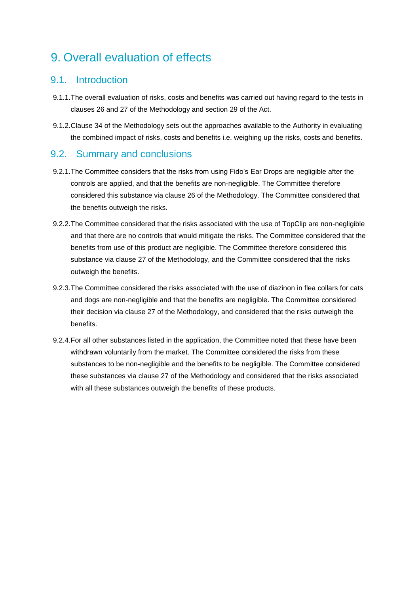# 9. Overall evaluation of effects

### 9.1. Introduction

- 9.1.1.The overall evaluation of risks, costs and benefits was carried out having regard to the tests in clauses 26 and 27 of the Methodology and section 29 of the Act.
- 9.1.2.Clause 34 of the Methodology sets out the approaches available to the Authority in evaluating the combined impact of risks, costs and benefits i.e. weighing up the risks, costs and benefits.

### 9.2. Summary and conclusions

- 9.2.1.The Committee considers that the risks from using Fido's Ear Drops are negligible after the controls are applied, and that the benefits are non-negligible. The Committee therefore considered this substance via clause 26 of the Methodology. The Committee considered that the benefits outweigh the risks.
- 9.2.2.The Committee considered that the risks associated with the use of TopClip are non-negligible and that there are no controls that would mitigate the risks. The Committee considered that the benefits from use of this product are negligible. The Committee therefore considered this substance via clause 27 of the Methodology, and the Committee considered that the risks outweigh the benefits.
- 9.2.3.The Committee considered the risks associated with the use of diazinon in flea collars for cats and dogs are non-negligible and that the benefits are negligible. The Committee considered their decision via clause 27 of the Methodology, and considered that the risks outweigh the benefits.
- 9.2.4.For all other substances listed in the application, the Committee noted that these have been withdrawn voluntarily from the market. The Committee considered the risks from these substances to be non-negligible and the benefits to be negligible. The Committee considered these substances via clause 27 of the Methodology and considered that the risks associated with all these substances outweigh the benefits of these products.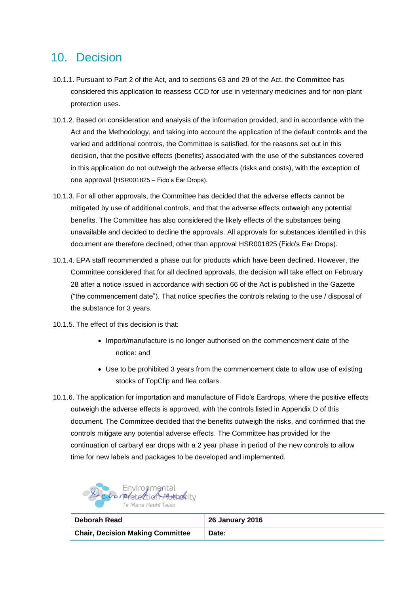# 10. Decision

- 10.1.1. Pursuant to Part 2 of the Act, and to sections 63 and 29 of the Act, the Committee has considered this application to reassess CCD for use in veterinary medicines and for non-plant protection uses.
- 10.1.2. Based on consideration and analysis of the information provided, and in accordance with the Act and the Methodology, and taking into account the application of the default controls and the varied and additional controls, the Committee is satisfied, for the reasons set out in this decision, that the positive effects (benefits) associated with the use of the substances covered in this application do not outweigh the adverse effects (risks and costs), with the exception of one approval (HSR001825 – Fido's Ear Drops).
- 10.1.3. For all other approvals, the Committee has decided that the adverse effects cannot be mitigated by use of additional controls, and that the adverse effects outweigh any potential benefits. The Committee has also considered the likely effects of the substances being unavailable and decided to decline the approvals. All approvals for substances identified in this document are therefore declined, other than approval HSR001825 (Fido's Ear Drops).
- 10.1.4. EPA staff recommended a phase out for products which have been declined. However, the Committee considered that for all declined approvals, the decision will take effect on February 28 after a notice issued in accordance with section 66 of the Act is published in the Gazette ("the commencement date"). That notice specifies the controls relating to the use / disposal of the substance for 3 years.
- 10.1.5. The effect of this decision is that:
	- Import/manufacture is no longer authorised on the commencement date of the notice: and
	- Use to be prohibited 3 years from the commencement date to allow use of existing stocks of TopClip and flea collars.
- 10.1.6. The application for importation and manufacture of Fido's Eardrops, where the positive effects outweigh the adverse effects is approved, with the controls listed in Appendix D of this document. The Committee decided that the benefits outweigh the risks, and confirmed that the controls mitigate any potential adverse effects. The Committee has provided for the continuation of carbaryl ear drops with a 2 year phase in period of the new controls to allow time for new labels and packages to be developed and implemented.



| Deborah Read                            | <b>26 January 2016</b> |
|-----------------------------------------|------------------------|
| <b>Chair, Decision Making Committee</b> | Date:                  |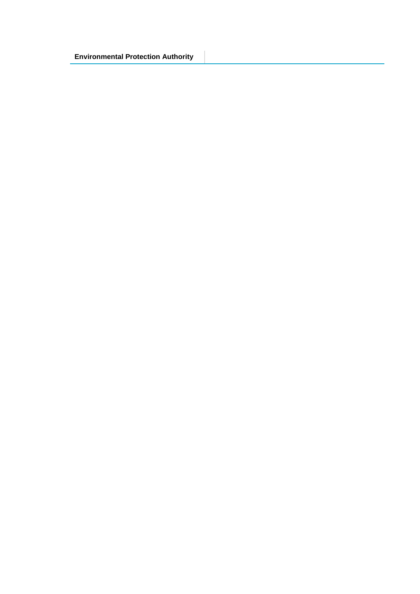**Environmental Protection Authority**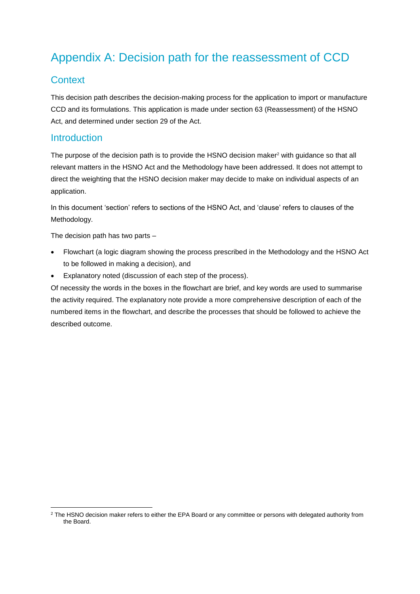# Appendix A: Decision path for the reassessment of CCD

## **Context**

This decision path describes the decision-making process for the application to import or manufacture CCD and its formulations. This application is made under section 63 (Reassessment) of the HSNO Act, and determined under section 29 of the Act.

### **Introduction**

<u>.</u>

The purpose of the decision path is to provide the HSNO decision maker<sup>2</sup> with guidance so that all relevant matters in the HSNO Act and the Methodology have been addressed. It does not attempt to direct the weighting that the HSNO decision maker may decide to make on individual aspects of an application.

In this document 'section' refers to sections of the HSNO Act, and 'clause' refers to clauses of the Methodology.

The decision path has two parts –

- Flowchart (a logic diagram showing the process prescribed in the Methodology and the HSNO Act to be followed in making a decision), and
- Explanatory noted (discussion of each step of the process).

Of necessity the words in the boxes in the flowchart are brief, and key words are used to summarise the activity required. The explanatory note provide a more comprehensive description of each of the numbered items in the flowchart, and describe the processes that should be followed to achieve the described outcome.

 $2$  The HSNO decision maker refers to either the EPA Board or any committee or persons with delegated authority from the Board.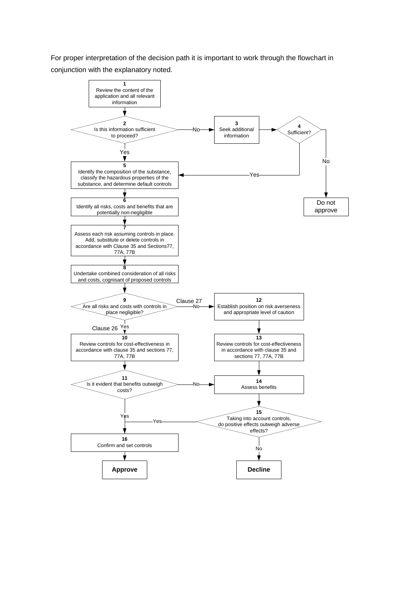For proper interpretation of the decision path it is important to work through the flowchart in conjunction with the explanatory noted.

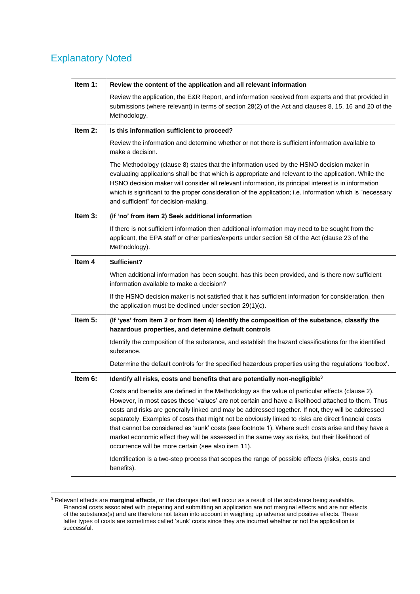# Explanatory Noted

<u>.</u>

| Item 1:           | Review the content of the application and all relevant information                                                                                                                                                                                                                                                                                                                                                                                                                                                                                                                                                                                                                  |  |  |  |  |
|-------------------|-------------------------------------------------------------------------------------------------------------------------------------------------------------------------------------------------------------------------------------------------------------------------------------------------------------------------------------------------------------------------------------------------------------------------------------------------------------------------------------------------------------------------------------------------------------------------------------------------------------------------------------------------------------------------------------|--|--|--|--|
|                   | Review the application, the E&R Report, and information received from experts and that provided in<br>submissions (where relevant) in terms of section 28(2) of the Act and clauses 8, 15, 16 and 20 of the<br>Methodology.                                                                                                                                                                                                                                                                                                                                                                                                                                                         |  |  |  |  |
| Item 2:           | Is this information sufficient to proceed?                                                                                                                                                                                                                                                                                                                                                                                                                                                                                                                                                                                                                                          |  |  |  |  |
|                   | Review the information and determine whether or not there is sufficient information available to<br>make a decision.                                                                                                                                                                                                                                                                                                                                                                                                                                                                                                                                                                |  |  |  |  |
|                   | The Methodology (clause 8) states that the information used by the HSNO decision maker in<br>evaluating applications shall be that which is appropriate and relevant to the application. While the<br>HSNO decision maker will consider all relevant information, its principal interest is in information<br>which is significant to the proper consideration of the application; i.e. information which is "necessary<br>and sufficient" for decision-making.                                                                                                                                                                                                                     |  |  |  |  |
| Item 3:           | (if 'no' from item 2) Seek additional information                                                                                                                                                                                                                                                                                                                                                                                                                                                                                                                                                                                                                                   |  |  |  |  |
|                   | If there is not sufficient information then additional information may need to be sought from the<br>applicant, the EPA staff or other parties/experts under section 58 of the Act (clause 23 of the<br>Methodology).                                                                                                                                                                                                                                                                                                                                                                                                                                                               |  |  |  |  |
| Item <sub>4</sub> | Sufficient?                                                                                                                                                                                                                                                                                                                                                                                                                                                                                                                                                                                                                                                                         |  |  |  |  |
|                   | When additional information has been sought, has this been provided, and is there now sufficient<br>information available to make a decision?                                                                                                                                                                                                                                                                                                                                                                                                                                                                                                                                       |  |  |  |  |
|                   | If the HSNO decision maker is not satisfied that it has sufficient information for consideration, then<br>the application must be declined under section 29(1)(c).                                                                                                                                                                                                                                                                                                                                                                                                                                                                                                                  |  |  |  |  |
| Item 5:           | (If 'yes' from item 2 or from item 4) Identify the composition of the substance, classify the<br>hazardous properties, and determine default controls                                                                                                                                                                                                                                                                                                                                                                                                                                                                                                                               |  |  |  |  |
|                   | Identify the composition of the substance, and establish the hazard classifications for the identified<br>substance.                                                                                                                                                                                                                                                                                                                                                                                                                                                                                                                                                                |  |  |  |  |
|                   | Determine the default controls for the specified hazardous properties using the regulations 'toolbox'.                                                                                                                                                                                                                                                                                                                                                                                                                                                                                                                                                                              |  |  |  |  |
| Item 6:           | Identify all risks, costs and benefits that are potentially non-negligible <sup>3</sup>                                                                                                                                                                                                                                                                                                                                                                                                                                                                                                                                                                                             |  |  |  |  |
|                   | Costs and benefits are defined in the Methodology as the value of particular effects (clause 2).<br>However, in most cases these 'values' are not certain and have a likelihood attached to them. Thus<br>costs and risks are generally linked and may be addressed together. If not, they will be addressed<br>separately. Examples of costs that might not be obviously linked to risks are direct financial costs<br>that cannot be considered as 'sunk' costs (see footnote 1). Where such costs arise and they have a<br>market economic effect they will be assessed in the same way as risks, but their likelihood of<br>occurrence will be more certain (see also item 11). |  |  |  |  |
|                   | Identification is a two-step process that scopes the range of possible effects (risks, costs and<br>benefits).                                                                                                                                                                                                                                                                                                                                                                                                                                                                                                                                                                      |  |  |  |  |

<sup>3</sup> Relevant effects are **marginal effects**, or the changes that will occur as a result of the substance being available. Financial costs associated with preparing and submitting an application are not marginal effects and are not effects of the substance(s) and are therefore not taken into account in weighing up adverse and positive effects. These latter types of costs are sometimes called 'sunk' costs since they are incurred whether or not the application is successful.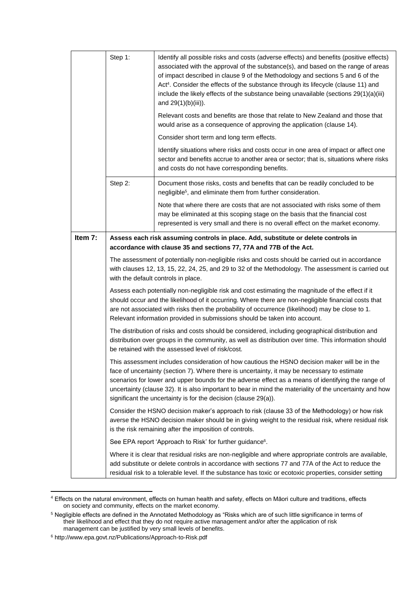|         | Step 1:                                                                                                                                                                                                                                                                                                                                                                                                                                                                            | Identify all possible risks and costs (adverse effects) and benefits (positive effects)<br>associated with the approval of the substance(s), and based on the range of areas<br>of impact described in clause 9 of the Methodology and sections 5 and 6 of the<br>Act <sup>4</sup> . Consider the effects of the substance through its lifecycle (clause 11) and<br>include the likely effects of the substance being unavailable (sections 29(1)(a)(iii)<br>and 29(1)(b)(iii)). |  |  |
|---------|------------------------------------------------------------------------------------------------------------------------------------------------------------------------------------------------------------------------------------------------------------------------------------------------------------------------------------------------------------------------------------------------------------------------------------------------------------------------------------|----------------------------------------------------------------------------------------------------------------------------------------------------------------------------------------------------------------------------------------------------------------------------------------------------------------------------------------------------------------------------------------------------------------------------------------------------------------------------------|--|--|
|         |                                                                                                                                                                                                                                                                                                                                                                                                                                                                                    | Relevant costs and benefits are those that relate to New Zealand and those that<br>would arise as a consequence of approving the application (clause 14).                                                                                                                                                                                                                                                                                                                        |  |  |
|         |                                                                                                                                                                                                                                                                                                                                                                                                                                                                                    | Consider short term and long term effects.                                                                                                                                                                                                                                                                                                                                                                                                                                       |  |  |
|         | Identify situations where risks and costs occur in one area of impact or affect one<br>sector and benefits accrue to another area or sector; that is, situations where risks<br>and costs do not have corresponding benefits.                                                                                                                                                                                                                                                      |                                                                                                                                                                                                                                                                                                                                                                                                                                                                                  |  |  |
|         | Step 2:                                                                                                                                                                                                                                                                                                                                                                                                                                                                            | Document those risks, costs and benefits that can be readily concluded to be<br>negligible <sup>5</sup> , and eliminate them from further consideration.                                                                                                                                                                                                                                                                                                                         |  |  |
|         |                                                                                                                                                                                                                                                                                                                                                                                                                                                                                    | Note that where there are costs that are not associated with risks some of them<br>may be eliminated at this scoping stage on the basis that the financial cost<br>represented is very small and there is no overall effect on the market economy.                                                                                                                                                                                                                               |  |  |
| Item 7: |                                                                                                                                                                                                                                                                                                                                                                                                                                                                                    | Assess each risk assuming controls in place. Add, substitute or delete controls in<br>accordance with clause 35 and sections 77, 77A and 77B of the Act.                                                                                                                                                                                                                                                                                                                         |  |  |
|         | The assessment of potentially non-negligible risks and costs should be carried out in accordance<br>with clauses 12, 13, 15, 22, 24, 25, and 29 to 32 of the Methodology. The assessment is carried out<br>with the default controls in place.                                                                                                                                                                                                                                     |                                                                                                                                                                                                                                                                                                                                                                                                                                                                                  |  |  |
|         | Assess each potentially non-negligible risk and cost estimating the magnitude of the effect if it<br>should occur and the likelihood of it occurring. Where there are non-negligible financial costs that<br>are not associated with risks then the probability of occurrence (likelihood) may be close to 1.<br>Relevant information provided in submissions should be taken into account.                                                                                        |                                                                                                                                                                                                                                                                                                                                                                                                                                                                                  |  |  |
|         | The distribution of risks and costs should be considered, including geographical distribution and<br>distribution over groups in the community, as well as distribution over time. This information should<br>be retained with the assessed level of risk/cost.                                                                                                                                                                                                                    |                                                                                                                                                                                                                                                                                                                                                                                                                                                                                  |  |  |
|         | This assessment includes consideration of how cautious the HSNO decision maker will be in the<br>face of uncertainty (section 7). Where there is uncertainty, it may be necessary to estimate<br>scenarios for lower and upper bounds for the adverse effect as a means of identifying the range of<br>uncertainty (clause 32). It is also important to bear in mind the materiality of the uncertainty and how<br>significant the uncertainty is for the decision (clause 29(a)). |                                                                                                                                                                                                                                                                                                                                                                                                                                                                                  |  |  |
|         | Consider the HSNO decision maker's approach to risk (clause 33 of the Methodology) or how risk<br>averse the HSNO decision maker should be in giving weight to the residual risk, where residual risk<br>is the risk remaining after the imposition of controls.                                                                                                                                                                                                                   |                                                                                                                                                                                                                                                                                                                                                                                                                                                                                  |  |  |
|         |                                                                                                                                                                                                                                                                                                                                                                                                                                                                                    | See EPA report 'Approach to Risk' for further guidance <sup>6</sup> .                                                                                                                                                                                                                                                                                                                                                                                                            |  |  |
|         | Where it is clear that residual risks are non-negligible and where appropriate controls are available,<br>add substitute or delete controls in accordance with sections 77 and 77A of the Act to reduce the<br>residual risk to a tolerable level. If the substance has toxic or ecotoxic properties, consider setting                                                                                                                                                             |                                                                                                                                                                                                                                                                                                                                                                                                                                                                                  |  |  |

<sup>&</sup>lt;u>.</u> <sup>4</sup> Effects on the natural environment, effects on human health and safety, effects on Māori culture and traditions, effects on society and community, effects on the market economy.

<sup>5</sup> Negligible effects are defined in the Annotated Methodology as "Risks which are of such little significance in terms of their likelihood and effect that they do not require active management and/or after the application of risk management can be justified by very small levels of benefits.

<sup>6</sup> [http://www.epa.govt.nz/Publications/Approach-to-Risk.pdf](http://oscar/General.aspx)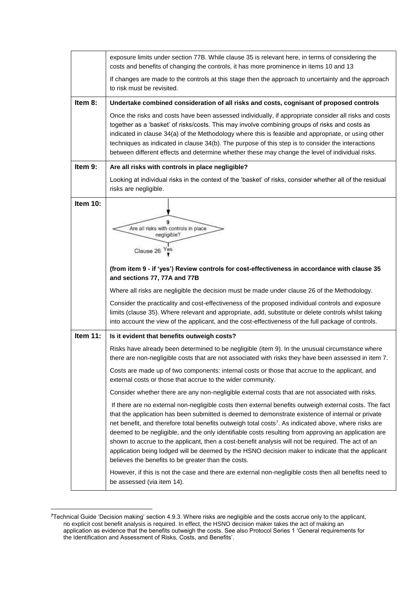|                 | exposure limits under section 77B. While clause 35 is relevant here, in terms of considering the<br>costs and benefits of changing the controls, it has more prominence in items 10 and 13                                                                                                                                                                                                                                                                                                                                                                                                                                                                                                                 |  |  |  |  |
|-----------------|------------------------------------------------------------------------------------------------------------------------------------------------------------------------------------------------------------------------------------------------------------------------------------------------------------------------------------------------------------------------------------------------------------------------------------------------------------------------------------------------------------------------------------------------------------------------------------------------------------------------------------------------------------------------------------------------------------|--|--|--|--|
|                 | If changes are made to the controls at this stage then the approach to uncertainty and the approach<br>to risk must be revisited.                                                                                                                                                                                                                                                                                                                                                                                                                                                                                                                                                                          |  |  |  |  |
| Item 8:         | Undertake combined consideration of all risks and costs, cognisant of proposed controls                                                                                                                                                                                                                                                                                                                                                                                                                                                                                                                                                                                                                    |  |  |  |  |
|                 | Once the risks and costs have been assessed individually, if appropriate consider all risks and costs<br>together as a 'basket' of risks/costs. This may involve combining groups of risks and costs as<br>indicated in clause 34(a) of the Methodology where this is feasible and appropriate, or using other<br>techniques as indicated in clause 34(b). The purpose of this step is to consider the interactions<br>between different effects and determine whether these may change the level of individual risks.                                                                                                                                                                                     |  |  |  |  |
| Item 9:         | Are all risks with controls in place negligible?                                                                                                                                                                                                                                                                                                                                                                                                                                                                                                                                                                                                                                                           |  |  |  |  |
|                 | Looking at individual risks in the context of the 'basket' of risks, consider whether all of the residual<br>risks are negligible.                                                                                                                                                                                                                                                                                                                                                                                                                                                                                                                                                                         |  |  |  |  |
| <b>Item 10:</b> | 9                                                                                                                                                                                                                                                                                                                                                                                                                                                                                                                                                                                                                                                                                                          |  |  |  |  |
|                 | Are all risks with controls in place<br>negligible?                                                                                                                                                                                                                                                                                                                                                                                                                                                                                                                                                                                                                                                        |  |  |  |  |
|                 | Clause 26 Yes                                                                                                                                                                                                                                                                                                                                                                                                                                                                                                                                                                                                                                                                                              |  |  |  |  |
|                 | (from item 9 - if 'yes') Review controls for cost-effectiveness in accordance with clause 35<br>and sections 77, 77A and 77B                                                                                                                                                                                                                                                                                                                                                                                                                                                                                                                                                                               |  |  |  |  |
|                 | Where all risks are negligible the decision must be made under clause 26 of the Methodology.                                                                                                                                                                                                                                                                                                                                                                                                                                                                                                                                                                                                               |  |  |  |  |
|                 | Consider the practicality and cost-effectiveness of the proposed individual controls and exposure<br>limits (clause 35). Where relevant and appropriate, add, substitute or delete controls whilst taking<br>into account the view of the applicant, and the cost-effectiveness of the full package of controls.                                                                                                                                                                                                                                                                                                                                                                                           |  |  |  |  |
| Item $11$ :     | Is it evident that benefits outweigh costs?                                                                                                                                                                                                                                                                                                                                                                                                                                                                                                                                                                                                                                                                |  |  |  |  |
|                 | Risks have already been determined to be negligible (item 9). In the unusual circumstance where<br>there are non-negligible costs that are not associated with risks they have been assessed in item 7.                                                                                                                                                                                                                                                                                                                                                                                                                                                                                                    |  |  |  |  |
|                 | Costs are made up of two components: internal costs or those that accrue to the applicant, and<br>external costs or those that accrue to the wider community.                                                                                                                                                                                                                                                                                                                                                                                                                                                                                                                                              |  |  |  |  |
|                 | Consider whether there are any non-negligible external costs that are not associated with risks.                                                                                                                                                                                                                                                                                                                                                                                                                                                                                                                                                                                                           |  |  |  |  |
|                 | If there are no external non-negligible costs then external benefits outweigh external costs. The fact<br>that the application has been submitted is deemed to demonstrate existence of internal or private<br>net benefit, and therefore total benefits outweigh total costs <sup>7</sup> . As indicated above, where risks are<br>deemed to be negligible, and the only identifiable costs resulting from approving an application are<br>shown to accrue to the applicant, then a cost-benefit analysis will not be required. The act of an<br>application being lodged will be deemed by the HSNO decision maker to indicate that the applicant<br>believes the benefits to be greater than the costs. |  |  |  |  |
|                 | However, if this is not the case and there are external non-negligible costs then all benefits need to<br>be assessed (via item 14).                                                                                                                                                                                                                                                                                                                                                                                                                                                                                                                                                                       |  |  |  |  |

**<sup>7</sup>**Technical Guide 'Decision making' section 4.9.3. Where risks are negligible and the costs accrue only to the applicant, no explicit cost benefit analysis is required. In effect, the HSNO decision maker takes the act of making an application as evidence that the benefits outweigh the costs. See also Protocol Series 1 'General requirements for the Identification and Assessment of Risks, Costs, and Benefits'.

1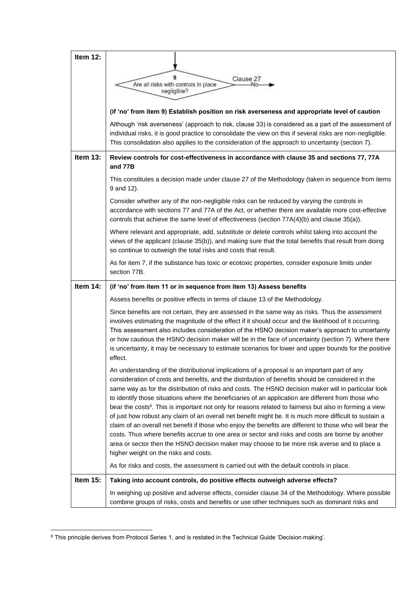| Item 12:    |                                                                                                                                                                                                                                                                                                                                                                                                                                                                                                                                                                                                                                                                                                                                                                                                                                                                                                                                                                                                              |
|-------------|--------------------------------------------------------------------------------------------------------------------------------------------------------------------------------------------------------------------------------------------------------------------------------------------------------------------------------------------------------------------------------------------------------------------------------------------------------------------------------------------------------------------------------------------------------------------------------------------------------------------------------------------------------------------------------------------------------------------------------------------------------------------------------------------------------------------------------------------------------------------------------------------------------------------------------------------------------------------------------------------------------------|
|             | Clause 27                                                                                                                                                                                                                                                                                                                                                                                                                                                                                                                                                                                                                                                                                                                                                                                                                                                                                                                                                                                                    |
|             | Are all risks with controls in place<br>negligible?                                                                                                                                                                                                                                                                                                                                                                                                                                                                                                                                                                                                                                                                                                                                                                                                                                                                                                                                                          |
|             |                                                                                                                                                                                                                                                                                                                                                                                                                                                                                                                                                                                                                                                                                                                                                                                                                                                                                                                                                                                                              |
|             | (if 'no' from item 9) Establish position on risk averseness and appropriate level of caution                                                                                                                                                                                                                                                                                                                                                                                                                                                                                                                                                                                                                                                                                                                                                                                                                                                                                                                 |
|             | Although 'risk averseness' (approach to risk, clause 33) is considered as a part of the assessment of<br>individual risks, it is good practice to consolidate the view on this if several risks are non-negligible.<br>This consolidation also applies to the consideration of the approach to uncertainty (section 7).                                                                                                                                                                                                                                                                                                                                                                                                                                                                                                                                                                                                                                                                                      |
| Item $13$ : | Review controls for cost-effectiveness in accordance with clause 35 and sections 77, 77A<br>and 77B                                                                                                                                                                                                                                                                                                                                                                                                                                                                                                                                                                                                                                                                                                                                                                                                                                                                                                          |
|             | This constitutes a decision made under clause 27 of the Methodology (taken in sequence from items<br>9 and 12).                                                                                                                                                                                                                                                                                                                                                                                                                                                                                                                                                                                                                                                                                                                                                                                                                                                                                              |
|             | Consider whether any of the non-negligible risks can be reduced by varying the controls in<br>accordance with sections 77 and 77A of the Act, or whether there are available more cost-effective<br>controls that achieve the same level of effectiveness (section 77A(4)(b) and clause 35(a)).                                                                                                                                                                                                                                                                                                                                                                                                                                                                                                                                                                                                                                                                                                              |
|             | Where relevant and appropriate, add, substitute or delete controls whilst taking into account the<br>views of the applicant (clause 35(b)), and making sure that the total benefits that result from doing<br>so continue to outweigh the total risks and costs that result.                                                                                                                                                                                                                                                                                                                                                                                                                                                                                                                                                                                                                                                                                                                                 |
|             | As for item 7, if the substance has toxic or ecotoxic properties, consider exposure limits under<br>section 77B.                                                                                                                                                                                                                                                                                                                                                                                                                                                                                                                                                                                                                                                                                                                                                                                                                                                                                             |
|             |                                                                                                                                                                                                                                                                                                                                                                                                                                                                                                                                                                                                                                                                                                                                                                                                                                                                                                                                                                                                              |
| Item $14$ : | (if 'no' from item 11 or in sequence from item 13) Assess benefits                                                                                                                                                                                                                                                                                                                                                                                                                                                                                                                                                                                                                                                                                                                                                                                                                                                                                                                                           |
|             | Assess benefits or positive effects in terms of clause 13 of the Methodology.                                                                                                                                                                                                                                                                                                                                                                                                                                                                                                                                                                                                                                                                                                                                                                                                                                                                                                                                |
|             | Since benefits are not certain, they are assessed in the same way as risks. Thus the assessment<br>involves estimating the magnitude of the effect if it should occur and the likelihood of it occurring.<br>This assessment also includes consideration of the HSNO decision maker's approach to uncertainty<br>or how cautious the HSNO decision maker will be in the face of uncertainty (section 7). Where there<br>is uncertainty, it may be necessary to estimate scenarios for lower and upper bounds for the positive<br>effect.                                                                                                                                                                                                                                                                                                                                                                                                                                                                     |
|             | An understanding of the distributional implications of a proposal is an important part of any<br>consideration of costs and benefits, and the distribution of benefits should be considered in the<br>same way as for the distribution of risks and costs. The HSNO decision maker will in particular look<br>to identify those situations where the beneficiaries of an application are different from those who<br>bear the costs <sup>8</sup> . This is important not only for reasons related to fairness but also in forming a view<br>of just how robust any claim of an overall net benefit might be. It is much more difficult to sustain a<br>claim of an overall net benefit if those who enjoy the benefits are different to those who will bear the<br>costs. Thus where benefits accrue to one area or sector and risks and costs are borne by another<br>area or sector then the HSNO decision maker may choose to be more risk averse and to place a<br>higher weight on the risks and costs. |
|             | As for risks and costs, the assessment is carried out with the default controls in place.                                                                                                                                                                                                                                                                                                                                                                                                                                                                                                                                                                                                                                                                                                                                                                                                                                                                                                                    |
| Item 15:    | Taking into account controls, do positive effects outweigh adverse effects?<br>In weighing up positive and adverse effects, consider clause 34 of the Methodology. Where possible                                                                                                                                                                                                                                                                                                                                                                                                                                                                                                                                                                                                                                                                                                                                                                                                                            |

<sup>&</sup>lt;u>.</u>  $8$  This principle derives from Protocol Series 1, and is restated in the Technical Guide 'Decision making'.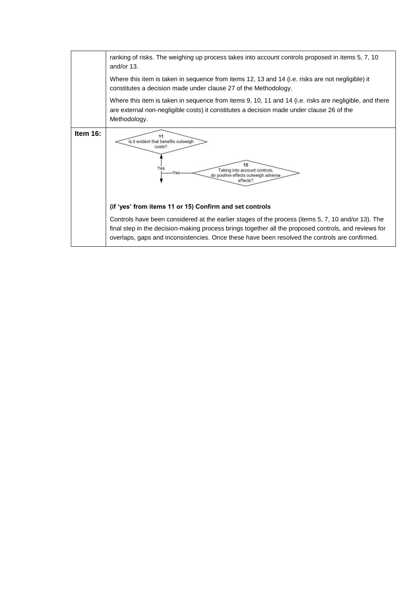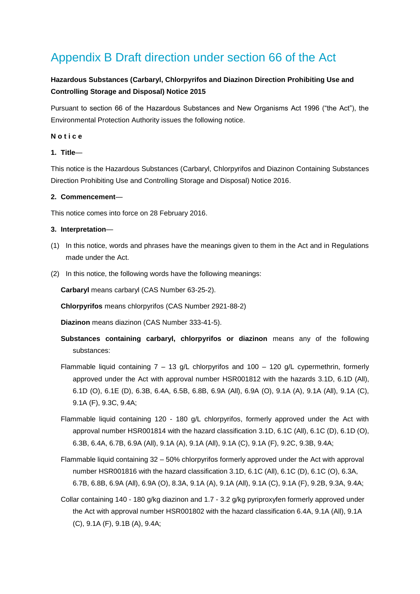# Appendix B Draft direction under section 66 of the Act

#### **Hazardous Substances (Carbaryl, Chlorpyrifos and Diazinon Direction Prohibiting Use and Controlling Storage and Disposal) Notice 2015**

Pursuant to section 66 of the Hazardous Substances and New Organisms Act 1996 ("the Act"), the Environmental Protection Authority issues the following notice.

#### **N o t i c e**

#### **1. Title**—

This notice is the Hazardous Substances (Carbaryl, Chlorpyrifos and Diazinon Containing Substances Direction Prohibiting Use and Controlling Storage and Disposal) Notice 2016.

#### **2. Commencement**—

This notice comes into force on 28 February 2016.

#### **3. Interpretation**—

- (1) In this notice, words and phrases have the meanings given to them in the Act and in Regulations made under the Act.
- (2) In this notice, the following words have the following meanings:

**Carbaryl** means carbaryl (CAS Number 63-25-2).

**Chlorpyrifos** means chlorpyrifos (CAS Number 2921-88-2)

**Diazinon** means diazinon (CAS Number 333-41-5).

- **Substances containing carbaryl, chlorpyrifos or diazinon** means any of the following substances:
- Flammable liquid containing  $7 13$  g/L chlorpyrifos and  $100 120$  g/L cypermethrin, formerly approved under the Act with approval number HSR001812 with the hazards 3.1D, 6.1D (All), 6.1D (O), 6.1E (D), 6.3B, 6.4A, 6.5B, 6.8B, 6.9A (All), 6.9A (O), 9.1A (A), 9.1A (All), 9.1A (C), 9.1A (F), 9.3C, 9.4A;
- Flammable liquid containing 120 180 g/L chlorpyrifos, formerly approved under the Act with approval number HSR001814 with the hazard classification 3.1D, 6.1C (All), 6.1C (D), 6.1D (O), 6.3B, 6.4A, 6.7B, 6.9A (All), 9.1A (A), 9.1A (All), 9.1A (C), 9.1A (F), 9.2C, 9.3B, 9.4A;
- Flammable liquid containing 32 50% chlorpyrifos formerly approved under the Act with approval number HSR001816 with the hazard classification 3.1D, 6.1C (All), 6.1C (D), 6.1C (O), 6.3A, 6.7B, 6.8B, 6.9A (All), 6.9A (O), 8.3A, 9.1A (A), 9.1A (All), 9.1A (C), 9.1A (F), 9.2B, 9.3A, 9.4A;
- Collar containing 140 180 g/kg diazinon and 1.7 3.2 g/kg pyriproxyfen formerly approved under the Act with approval number HSR001802 with the hazard classification 6.4A, 9.1A (All), 9.1A (C), 9.1A (F), 9.1B (A), 9.4A;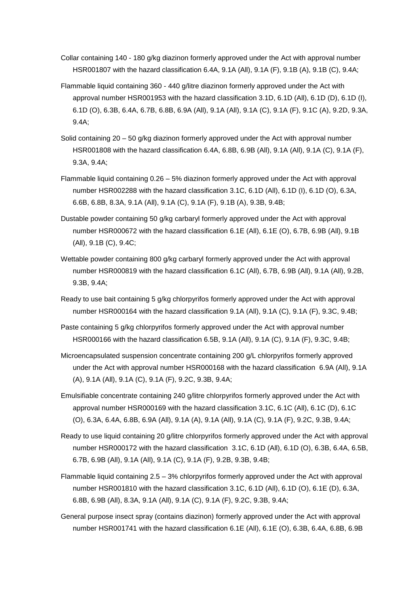- Collar containing 140 180 g/kg diazinon formerly approved under the Act with approval number HSR001807 with the hazard classification 6.4A, 9.1A (All), 9.1A (F), 9.1B (A), 9.1B (C), 9.4A;
- Flammable liquid containing 360 440 g/litre diazinon formerly approved under the Act with approval number HSR001953 with the hazard classification 3.1D, 6.1D (All), 6.1D (D), 6.1D (I), 6.1D (O), 6.3B, 6.4A, 6.7B, 6.8B, 6.9A (All), 9.1A (All), 9.1A (C), 9.1A (F), 9.1C (A), 9.2D, 9.3A, 9.4A;
- Solid containing 20 50 g/kg diazinon formerly approved under the Act with approval number HSR001808 with the hazard classification 6.4A, 6.8B, 6.9B (All), 9.1A (All), 9.1A (C), 9.1A (F), 9.3A, 9.4A;
- Flammable liquid containing 0.26 5% diazinon formerly approved under the Act with approval number HSR002288 with the hazard classification 3.1C, 6.1D (All), 6.1D (I), 6.1D (O), 6.3A, 6.6B, 6.8B, 8.3A, 9.1A (All), 9.1A (C), 9.1A (F), 9.1B (A), 9.3B, 9.4B;
- Dustable powder containing 50 g/kg carbaryl formerly approved under the Act with approval number HSR000672 with the hazard classification 6.1E (All), 6.1E (O), 6.7B, 6.9B (All), 9.1B (All), 9.1B (C), 9.4C;
- Wettable powder containing 800 g/kg carbaryl formerly approved under the Act with approval number HSR000819 with the hazard classification 6.1C (All), 6.7B, 6.9B (All), 9.1A (All), 9.2B, 9.3B, 9.4A;
- Ready to use bait containing 5 g/kg chlorpyrifos formerly approved under the Act with approval number HSR000164 with the hazard classification 9.1A (All), 9.1A (C), 9.1A (F), 9.3C, 9.4B;
- Paste containing 5 g/kg chlorpyrifos formerly approved under the Act with approval number HSR000166 with the hazard classification 6.5B, 9.1A (All), 9.1A (C), 9.1A (F), 9.3C, 9.4B;
- Microencapsulated suspension concentrate containing 200 g/L chlorpyrifos formerly approved under the Act with approval number HSR000168 with the hazard classification 6.9A (All), 9.1A (A), 9.1A (All), 9.1A (C), 9.1A (F), 9.2C, 9.3B, 9.4A;
- Emulsifiable concentrate containing 240 g/litre chlorpyrifos formerly approved under the Act with approval number HSR000169 with the hazard classification 3.1C, 6.1C (All), 6.1C (D), 6.1C (O), 6.3A, 6.4A, 6.8B, 6.9A (All), 9.1A (A), 9.1A (All), 9.1A (C), 9.1A (F), 9.2C, 9.3B, 9.4A;
- Ready to use liquid containing 20 g/litre chlorpyrifos formerly approved under the Act with approval number HSR000172 with the hazard classification 3.1C, 6.1D (All), 6.1D (O), 6.3B, 6.4A, 6.5B, 6.7B, 6.9B (All), 9.1A (All), 9.1A (C), 9.1A (F), 9.2B, 9.3B, 9.4B;
- Flammable liquid containing 2.5 3% chlorpyrifos formerly approved under the Act with approval number HSR001810 with the hazard classification 3.1C, 6.1D (All), 6.1D (O), 6.1E (D), 6.3A, 6.8B, 6.9B (All), 8.3A, 9.1A (All), 9.1A (C), 9.1A (F), 9.2C, 9.3B, 9.4A;
- General purpose insect spray (contains diazinon) formerly approved under the Act with approval number HSR001741 with the hazard classification 6.1E (All), 6.1E (O), 6.3B, 6.4A, 6.8B, 6.9B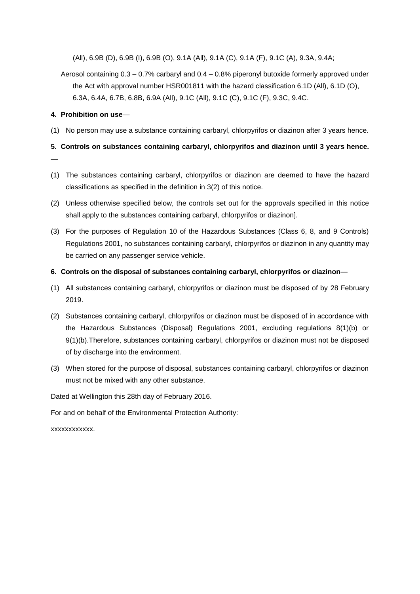(All), 6.9B (D), 6.9B (I), 6.9B (O), 9.1A (All), 9.1A (C), 9.1A (F), 9.1C (A), 9.3A, 9.4A;

Aerosol containing 0.3 – 0.7% carbaryl and 0.4 – 0.8% piperonyl butoxide formerly approved under the Act with approval number HSR001811 with the hazard classification 6.1D (All), 6.1D (O), 6.3A, 6.4A, 6.7B, 6.8B, 6.9A (All), 9.1C (All), 9.1C (C), 9.1C (F), 9.3C, 9.4C.

#### **4. Prohibition on use**—

(1) No person may use a substance containing carbaryl, chlorpyrifos or diazinon after 3 years hence.

**5. Controls on substances containing carbaryl, chlorpyrifos and diazinon until 3 years hence.**

- —
- (1) The substances containing carbaryl, chlorpyrifos or diazinon are deemed to have the hazard classifications as specified in the definition in 3(2) of this notice.
- (2) Unless otherwise specified below, the controls set out for the approvals specified in this notice shall apply to the substances containing carbaryl, chlorpyrifos or diazinon].
- (3) For the purposes of Regulation 10 of the Hazardous Substances (Class 6, 8, and 9 Controls) Regulations 2001, no substances containing carbaryl, chlorpyrifos or diazinon in any quantity may be carried on any passenger service vehicle.

#### **6. Controls on the disposal of substances containing carbaryl, chlorpyrifos or diazinon**—

- (1) All substances containing carbaryl, chlorpyrifos or diazinon must be disposed of by 28 February 2019.
- (2) Substances containing carbaryl, chlorpyrifos or diazinon must be disposed of in accordance with the Hazardous Substances (Disposal) Regulations 2001, excluding regulations 8(1)(b) or 9(1)(b).Therefore, substances containing carbaryl, chlorpyrifos or diazinon must not be disposed of by discharge into the environment.
- (3) When stored for the purpose of disposal, substances containing carbaryl, chlorpyrifos or diazinon must not be mixed with any other substance.

Dated at Wellington this 28th day of February 2016.

For and on behalf of the Environmental Protection Authority:

xxxxxxxxxxxx.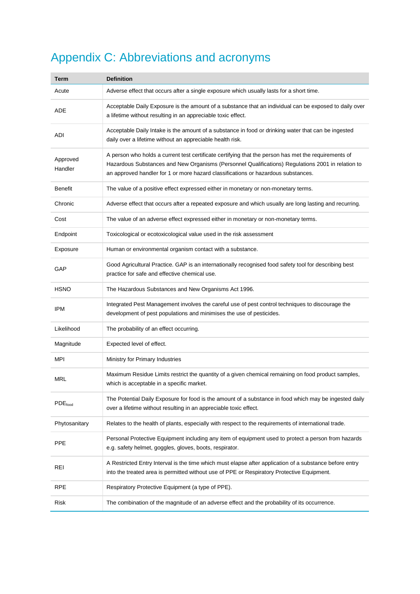# Appendix C: Abbreviations and acronyms

| Term                | <b>Definition</b>                                                                                                                                                                                                                                                                              |  |  |
|---------------------|------------------------------------------------------------------------------------------------------------------------------------------------------------------------------------------------------------------------------------------------------------------------------------------------|--|--|
| Acute               | Adverse effect that occurs after a single exposure which usually lasts for a short time.                                                                                                                                                                                                       |  |  |
| ADE                 | Acceptable Daily Exposure is the amount of a substance that an individual can be exposed to daily over<br>a lifetime without resulting in an appreciable toxic effect.                                                                                                                         |  |  |
| ADI                 | Acceptable Daily Intake is the amount of a substance in food or drinking water that can be ingested<br>daily over a lifetime without an appreciable health risk.                                                                                                                               |  |  |
| Approved<br>Handler | A person who holds a current test certificate certifying that the person has met the requirements of<br>Hazardous Substances and New Organisms (Personnel Qualifications) Regulations 2001 in relation to<br>an approved handler for 1 or more hazard classifications or hazardous substances. |  |  |
| <b>Benefit</b>      | The value of a positive effect expressed either in monetary or non-monetary terms.                                                                                                                                                                                                             |  |  |
| Chronic             | Adverse effect that occurs after a repeated exposure and which usually are long lasting and recurring.                                                                                                                                                                                         |  |  |
| Cost                | The value of an adverse effect expressed either in monetary or non-monetary terms.                                                                                                                                                                                                             |  |  |
| Endpoint            | Toxicological or ecotoxicological value used in the risk assessment                                                                                                                                                                                                                            |  |  |
| Exposure            | Human or environmental organism contact with a substance.                                                                                                                                                                                                                                      |  |  |
| GAP                 | Good Agricultural Practice. GAP is an internationally recognised food safety tool for describing best<br>practice for safe and effective chemical use.                                                                                                                                         |  |  |
| <b>HSNO</b>         | The Hazardous Substances and New Organisms Act 1996.                                                                                                                                                                                                                                           |  |  |
| IPM                 | Integrated Pest Management involves the careful use of pest control techniques to discourage the<br>development of pest populations and minimises the use of pesticides.                                                                                                                       |  |  |
| Likelihood          | The probability of an effect occurring.                                                                                                                                                                                                                                                        |  |  |
| Magnitude           | Expected level of effect.                                                                                                                                                                                                                                                                      |  |  |
| MPI                 | Ministry for Primary Industries                                                                                                                                                                                                                                                                |  |  |
| MRL                 | Maximum Residue Limits restrict the quantity of a given chemical remaining on food product samples,<br>which is acceptable in a specific market.                                                                                                                                               |  |  |
| PDE <sub>food</sub> | The Potential Daily Exposure for food is the amount of a substance in food which may be ingested daily<br>over a lifetime without resulting in an appreciable toxic effect.                                                                                                                    |  |  |
| Phytosanitary       | Relates to the health of plants, especially with respect to the requirements of international trade.                                                                                                                                                                                           |  |  |
| <b>PPE</b>          | Personal Protective Equipment including any item of equipment used to protect a person from hazards<br>e.g. safety helmet, goggles, gloves, boots, respirator.                                                                                                                                 |  |  |
| <b>REI</b>          | A Restricted Entry Interval is the time which must elapse after application of a substance before entry<br>into the treated area is permitted without use of PPE or Respiratory Protective Equipment.                                                                                          |  |  |
| <b>RPE</b>          | Respiratory Protective Equipment (a type of PPE).                                                                                                                                                                                                                                              |  |  |
| Risk                | The combination of the magnitude of an adverse effect and the probability of its occurrence.                                                                                                                                                                                                   |  |  |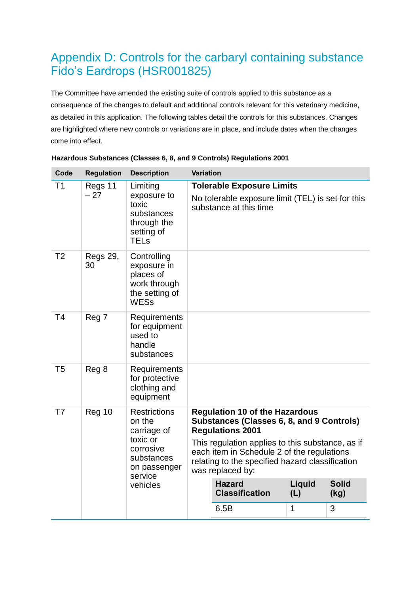# Appendix D: Controls for the carbaryl containing substance Fido's Eardrops (HSR001825)

The Committee have amended the existing suite of controls applied to this substance as a consequence of the changes to default and additional controls relevant for this veterinary medicine, as detailed in this application. The following tables detail the controls for this substances. Changes are highlighted where new controls or variations are in place, and include dates when the changes come into effect.

| Code           | <b>Regulation</b>     | <b>Description</b>                                                                                                         | <b>Variation</b>                                                                                                                                                                                                                                                                                                                                  |                                                                                                                 |                      |   |
|----------------|-----------------------|----------------------------------------------------------------------------------------------------------------------------|---------------------------------------------------------------------------------------------------------------------------------------------------------------------------------------------------------------------------------------------------------------------------------------------------------------------------------------------------|-----------------------------------------------------------------------------------------------------------------|----------------------|---|
| Τ1             | Regs 11<br>$-27$      | Limiting<br>exposure to<br>toxic<br>substances<br>through the<br>setting of<br><b>TELs</b>                                 |                                                                                                                                                                                                                                                                                                                                                   | <b>Tolerable Exposure Limits</b><br>No tolerable exposure limit (TEL) is set for this<br>substance at this time |                      |   |
| T <sub>2</sub> | <b>Regs 29,</b><br>30 | Controlling<br>exposure in<br>places of<br>work through<br>the setting of<br><b>WESs</b>                                   |                                                                                                                                                                                                                                                                                                                                                   |                                                                                                                 |                      |   |
| T <sub>4</sub> | Reg 7                 | Requirements<br>for equipment<br>used to<br>handle<br>substances                                                           |                                                                                                                                                                                                                                                                                                                                                   |                                                                                                                 |                      |   |
| T <sub>5</sub> | Reg 8                 | Requirements<br>for protective<br>clothing and<br>equipment                                                                |                                                                                                                                                                                                                                                                                                                                                   |                                                                                                                 |                      |   |
| T7             | Reg 10                | <b>Restrictions</b><br>on the<br>carriage of<br>toxic or<br>corrosive<br>substances<br>on passenger<br>service<br>vehicles | <b>Regulation 10 of the Hazardous</b><br>Substances (Classes 6, 8, and 9 Controls)<br><b>Regulations 2001</b><br>This regulation applies to this substance, as if<br>each item in Schedule 2 of the regulations<br>relating to the specified hazard classification<br>was replaced by:<br><b>Hazard</b><br>Liquid<br><b>Classification</b><br>(L) |                                                                                                                 | <b>Solid</b><br>(kg) |   |
|                |                       |                                                                                                                            |                                                                                                                                                                                                                                                                                                                                                   | 6.5B                                                                                                            | 1                    | 3 |

#### **Hazardous Substances (Classes 6, 8, and 9 Controls) Regulations 2001**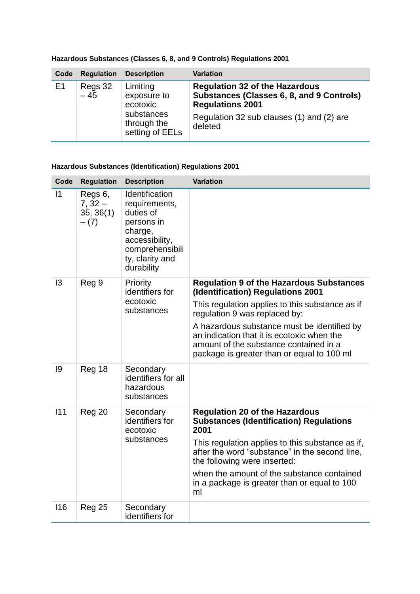| Code           | <b>Regulation</b> | <b>Description</b>                                                                  | <b>Variation</b>                                                                                                                                                      |
|----------------|-------------------|-------------------------------------------------------------------------------------|-----------------------------------------------------------------------------------------------------------------------------------------------------------------------|
| E <sub>1</sub> | Regs 32<br>$-45$  | Limiting<br>exposure to<br>ecotoxic<br>substances<br>through the<br>setting of EELs | <b>Regulation 32 of the Hazardous</b><br>Substances (Classes 6, 8, and 9 Controls)<br><b>Regulations 2001</b><br>Regulation 32 sub clauses (1) and (2) are<br>deleted |

#### **Hazardous Substances (Classes 6, 8, and 9 Controls) Regulations 2001**

#### **Hazardous Substances (Identification) Regulations 2001**

| Code           | <b>Regulation</b>                            | <b>Description</b>                                                                                                                          | <b>Variation</b>                                                                                                                                                                  |
|----------------|----------------------------------------------|---------------------------------------------------------------------------------------------------------------------------------------------|-----------------------------------------------------------------------------------------------------------------------------------------------------------------------------------|
| $\vert$ 1      | Regs 6,<br>$7, 32 -$<br>35, 36(1)<br>$- (7)$ | Identification<br>requirements,<br>duties of<br>persons in<br>charge,<br>accessibility,<br>comprehensibili<br>ty, clarity and<br>durability |                                                                                                                                                                                   |
| $\overline{3}$ | Reg 9                                        | Priority<br>identifiers for                                                                                                                 | <b>Regulation 9 of the Hazardous Substances</b><br>(Identification) Regulations 2001                                                                                              |
|                |                                              | ecotoxic<br>substances                                                                                                                      | This regulation applies to this substance as if<br>regulation 9 was replaced by:                                                                                                  |
|                |                                              |                                                                                                                                             | A hazardous substance must be identified by<br>an indication that it is ecotoxic when the<br>amount of the substance contained in a<br>package is greater than or equal to 100 ml |
| 9              | Reg 18                                       | Secondary<br>identifiers for all<br>hazardous<br>substances                                                                                 |                                                                                                                                                                                   |
| 111            | Reg 20                                       | Secondary<br>identifiers for<br>ecotoxic<br>substances                                                                                      | <b>Regulation 20 of the Hazardous</b><br><b>Substances (Identification) Regulations</b><br>2001                                                                                   |
|                |                                              |                                                                                                                                             | This regulation applies to this substance as if,<br>after the word "substance" in the second line.<br>the following were inserted:                                                |
|                |                                              |                                                                                                                                             | when the amount of the substance contained<br>in a package is greater than or equal to 100<br>ml                                                                                  |
| 116            | Reg 25                                       | Secondary<br>identifiers for                                                                                                                |                                                                                                                                                                                   |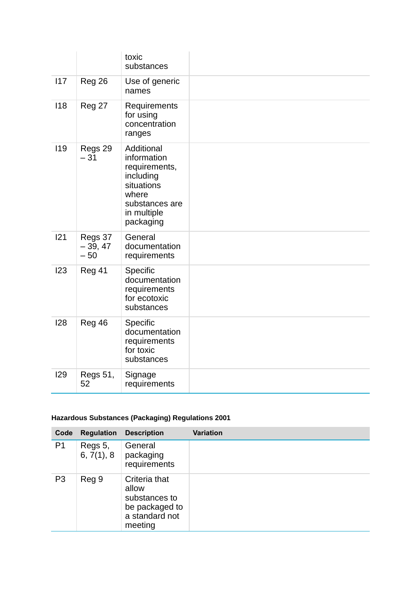|            |                               | toxic<br>substances                                                                                                          |  |
|------------|-------------------------------|------------------------------------------------------------------------------------------------------------------------------|--|
| 117        | Reg 26                        | Use of generic<br>names                                                                                                      |  |
| 118        | Reg 27                        | Requirements<br>for using<br>concentration<br>ranges                                                                         |  |
| <b>I19</b> | Regs 29<br>$-31$              | Additional<br>information<br>requirements,<br>including<br>situations<br>where<br>substances are<br>in multiple<br>packaging |  |
| 121        | Regs 37<br>$-39, 47$<br>$-50$ | General<br>documentation<br>requirements                                                                                     |  |
| 123        | Reg 41                        | Specific<br>documentation<br>requirements<br>for ecotoxic<br>substances                                                      |  |
| <b>128</b> | Reg 46                        | Specific<br>documentation<br>requirements<br>for toxic<br>substances                                                         |  |
| <b>129</b> | <b>Regs 51,</b><br>52         | Signage<br>requirements                                                                                                      |  |

#### **Hazardous Substances (Packaging) Regulations 2001**

| Code           | <b>Regulation</b>     | <b>Description</b>                                                                     | <b>Variation</b> |
|----------------|-----------------------|----------------------------------------------------------------------------------------|------------------|
| P <sub>1</sub> | Regs 5,<br>6, 7(1), 8 | General<br>packaging<br>requirements                                                   |                  |
| P <sub>3</sub> | Reg 9                 | Criteria that<br>allow<br>substances to<br>be packaged to<br>a standard not<br>meeting |                  |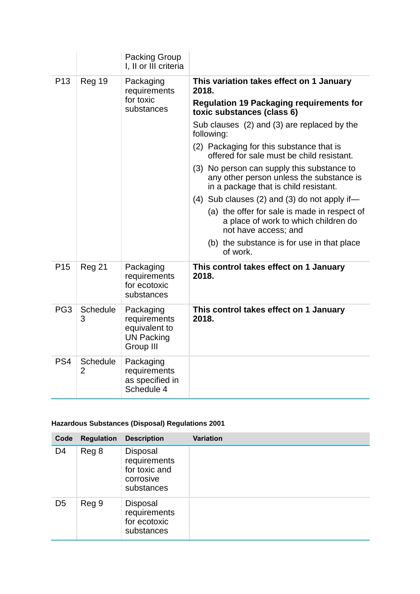|                 |                                   | <b>Packing Group</b><br>I, II or III criteria                                |                                                                                                                                 |
|-----------------|-----------------------------------|------------------------------------------------------------------------------|---------------------------------------------------------------------------------------------------------------------------------|
| P <sub>13</sub> | Reg 19                            | Packaging<br>requirements                                                    | This variation takes effect on 1 January<br>2018.                                                                               |
|                 |                                   | for toxic<br>substances                                                      | <b>Regulation 19 Packaging requirements for</b><br>toxic substances (class 6)                                                   |
|                 |                                   |                                                                              | Sub clauses (2) and (3) are replaced by the<br>following:                                                                       |
|                 |                                   |                                                                              | (2) Packaging for this substance that is<br>offered for sale must be child resistant.                                           |
|                 |                                   |                                                                              | (3) No person can supply this substance to<br>any other person unless the substance is<br>in a package that is child resistant. |
|                 |                                   |                                                                              | $(4)$ Sub clauses $(2)$ and $(3)$ do not apply if —                                                                             |
|                 |                                   |                                                                              | (a) the offer for sale is made in respect of<br>a place of work to which children do<br>not have access; and                    |
|                 |                                   |                                                                              | (b) the substance is for use in that place<br>of work.                                                                          |
| P <sub>15</sub> | Reg 21                            | Packaging<br>requirements<br>for ecotoxic<br>substances                      | This control takes effect on 1 January<br>2018.                                                                                 |
| PG <sub>3</sub> | <b>Schedule</b><br>3              | Packaging<br>requirements<br>equivalent to<br><b>UN Packing</b><br>Group III | This control takes effect on 1 January<br>2018.                                                                                 |
| PS4             | <b>Schedule</b><br>$\overline{2}$ | Packaging<br>requirements<br>as specified in<br>Schedule 4                   |                                                                                                                                 |

#### **Hazardous Substances (Disposal) Regulations 2001**

| Code           | <b>Regulation</b> | <b>Description</b>                                                   | <b>Variation</b> |
|----------------|-------------------|----------------------------------------------------------------------|------------------|
| D <sub>4</sub> | Reg 8             | Disposal<br>requirements<br>for toxic and<br>corrosive<br>substances |                  |
| D <sub>5</sub> | Reg 9             | Disposal<br>requirements<br>for ecotoxic<br>substances               |                  |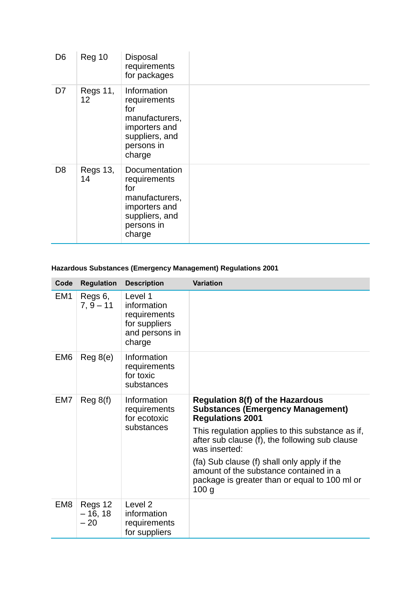| D <sub>6</sub> | Reg 10                | Disposal<br>requirements<br>for packages                                                                          |  |
|----------------|-----------------------|-------------------------------------------------------------------------------------------------------------------|--|
| D7             | <b>Regs 11,</b><br>12 | Information<br>requirements<br>for<br>manufacturers,<br>importers and<br>suppliers, and<br>persons in<br>charge   |  |
| D <sub>8</sub> | <b>Regs 13,</b><br>14 | Documentation<br>requirements<br>for<br>manufacturers,<br>importers and<br>suppliers, and<br>persons in<br>charge |  |

# **Hazardous Substances (Emergency Management) Regulations 2001**

| Code            | <b>Regulation</b>             | <b>Description</b>                                                                  | <b>Variation</b>                                                                                                                                                                                                                                                                                                                                                                                    |
|-----------------|-------------------------------|-------------------------------------------------------------------------------------|-----------------------------------------------------------------------------------------------------------------------------------------------------------------------------------------------------------------------------------------------------------------------------------------------------------------------------------------------------------------------------------------------------|
| EM <sub>1</sub> | Regs 6,<br>$7, 9 - 11$        | Level 1<br>information<br>requirements<br>for suppliers<br>and persons in<br>charge |                                                                                                                                                                                                                                                                                                                                                                                                     |
| EM <sub>6</sub> | Reg 8(e)                      | Information<br>requirements<br>for toxic<br>substances                              |                                                                                                                                                                                                                                                                                                                                                                                                     |
| EM7             | Reg 8(f)                      | Information<br>requirements<br>for ecotoxic<br>substances                           | <b>Regulation 8(f) of the Hazardous</b><br><b>Substances (Emergency Management)</b><br><b>Regulations 2001</b><br>This regulation applies to this substance as if,<br>after sub clause (f), the following sub clause<br>was inserted:<br>(fa) Sub clause (f) shall only apply if the<br>amount of the substance contained in a<br>package is greater than or equal to 100 ml or<br>100 <sub>g</sub> |
| EM8             | Regs 12<br>$-16, 18$<br>$-20$ | Level 2<br>information<br>requirements<br>for suppliers                             |                                                                                                                                                                                                                                                                                                                                                                                                     |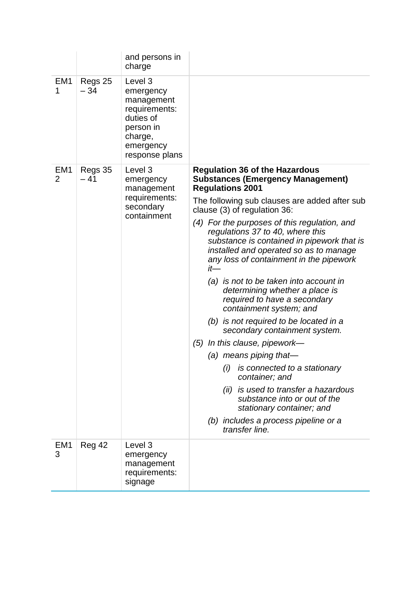|                                   |                  | and persons in<br>charge                                                                                                |                                                                                                                                                                                                                              |
|-----------------------------------|------------------|-------------------------------------------------------------------------------------------------------------------------|------------------------------------------------------------------------------------------------------------------------------------------------------------------------------------------------------------------------------|
| EM <sub>1</sub><br>1              | Regs 25<br>$-34$ | Level 3<br>emergency<br>management<br>requirements:<br>duties of<br>person in<br>charge,<br>emergency<br>response plans |                                                                                                                                                                                                                              |
| EM <sub>1</sub><br>$\overline{2}$ | Regs 35<br>$-41$ | Level 3<br>emergency<br>management                                                                                      | <b>Regulation 36 of the Hazardous</b><br><b>Substances (Emergency Management)</b><br><b>Regulations 2001</b>                                                                                                                 |
|                                   |                  | requirements:<br>secondary                                                                                              | The following sub clauses are added after sub<br>clause (3) of regulation 36:                                                                                                                                                |
|                                   |                  | containment                                                                                                             | (4) For the purposes of this regulation, and<br>regulations 37 to 40, where this<br>substance is contained in pipework that is<br>installed and operated so as to manage<br>any loss of containment in the pipework<br>$it-$ |
|                                   |                  |                                                                                                                         | (a) is not to be taken into account in<br>determining whether a place is<br>required to have a secondary<br>containment system; and                                                                                          |
|                                   |                  |                                                                                                                         | (b) is not required to be located in a<br>secondary containment system.                                                                                                                                                      |
|                                   |                  |                                                                                                                         | (5) In this clause, pipework—                                                                                                                                                                                                |
|                                   |                  |                                                                                                                         | (a) means piping that-                                                                                                                                                                                                       |
|                                   |                  |                                                                                                                         | (i) is connected to a stationary<br>container; and                                                                                                                                                                           |
|                                   |                  |                                                                                                                         | is used to transfer a hazardous<br>(ii)<br>substance into or out of the<br>stationary container; and                                                                                                                         |
|                                   |                  |                                                                                                                         | (b) includes a process pipeline or a<br>transfer line.                                                                                                                                                                       |
| EM <sub>1</sub><br>3              | Reg 42           | Level 3<br>emergency<br>management<br>requirements:<br>signage                                                          |                                                                                                                                                                                                                              |